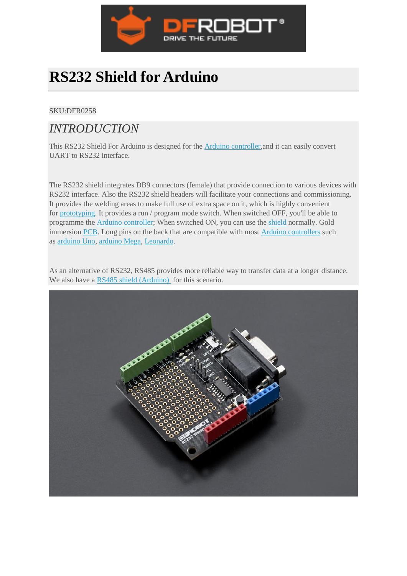

# **RS232 Shield for Arduino**

#### SKU:DFR0258

### *INTRODUCTION*

This RS232 Shield For Arduino is designed for the [Arduino controller,](https://www.dfrobot.com/category-104.html)and it can easily convert UART to RS232 interface.

The RS232 shield integrates DB9 connectors (female) that provide connection to various devices with RS232 interface. Also the RS232 shield headers will facilitate your connections and commissioning. It provides the welding areas to make full use of extra space on it, which is highly convenient for [prototyping.](https://www.dfrobot.com/category-67.html) It provides a run / program mode switch. When switched OFF, you'll be able to programme the [Arduino controller;](https://www.dfrobot.com/category-35.html) When switched ON, you can use the [shield](https://www.dfrobot.com/category-124.html) normally. Gold immersion [PCB.](https://www.dfrobot.com/index.php?route=product/pcb) Long pins on the back that are compatible with most [Arduino controllers](https://www.dfrobot.com/category-35.html) such as [arduino Uno,](https://www.dfrobot.com/product-610.html) [arduino Mega,](https://www.dfrobot.com/product-358.html) [Leonardo.](https://www.dfrobot.com/product-832.html)

As an alternative of RS232, RS485 provides more reliable way to transfer data at a longer distance. We also have a [RS485 shield \(Arduino\)](https://www.dfrobot.com/product-1024.html) for this scenario.

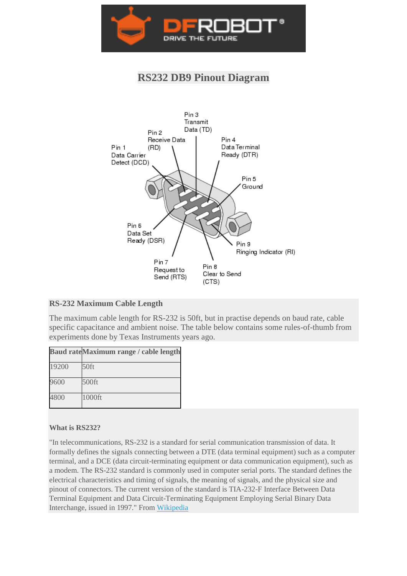

### **RS232 DB9 Pinout Diagram**



#### **RS-232 Maximum Cable Length**

The maximum cable length for RS-232 is 50ft, but in practise depends on baud rate, cable specific capacitance and ambient noise. The table below contains some rules-of-thumb from experiments done by Texas Instruments years ago.

|       | Baud rateMaximum range / cable length |
|-------|---------------------------------------|
| 19200 | $50$ ft                               |
| 9600  | 500ft                                 |
| 4800  | 1000ft                                |

#### **What is RS232?**

"In telecommunications, RS-232 is a standard for serial communication transmission of data. It formally defines the signals connecting between a DTE (data terminal equipment) such as a computer terminal, and a DCE (data circuit-terminating equipment or data communication equipment), such as a modem. The RS-232 standard is commonly used in computer serial ports. The standard defines the electrical characteristics and timing of signals, the meaning of signals, and the physical size and pinout of connectors. The current version of the standard is TIA-232-F Interface Between Data Terminal Equipment and Data Circuit-Terminating Equipment Employing Serial Binary Data Interchange, issued in 1997." From [Wikipedia](https://en.wikipedia.org/wiki/RS-232)